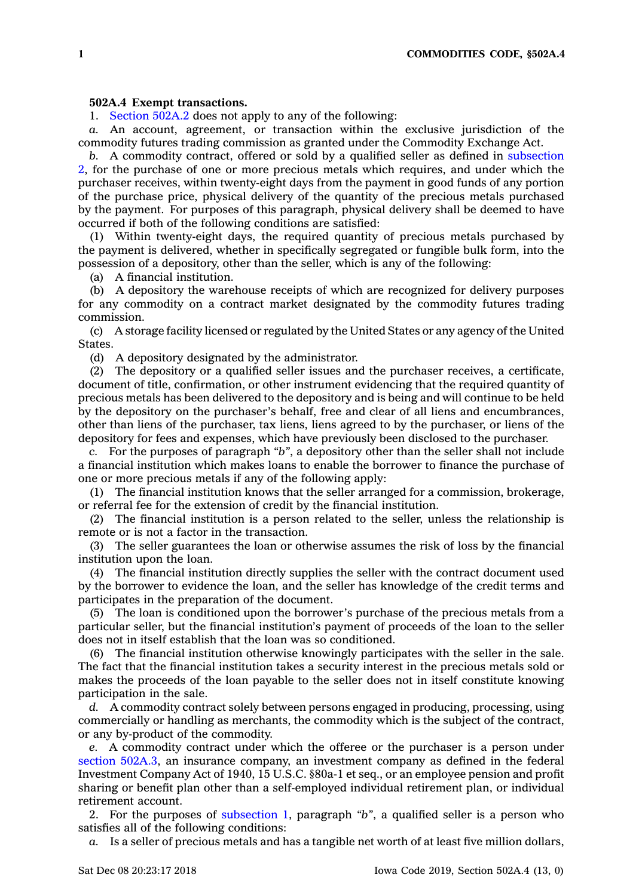## **502A.4 Exempt transactions.**

1. [Section](https://www.legis.iowa.gov/docs/code/502A.2.pdf) 502A.2 does not apply to any of the following:

*a.* An account, agreement, or transaction within the exclusive jurisdiction of the commodity futures trading commission as granted under the Commodity Exchange Act.

*b.* A commodity contract, offered or sold by <sup>a</sup> qualified seller as defined in [subsection](https://www.legis.iowa.gov/docs/code/502A.4.pdf) [2](https://www.legis.iowa.gov/docs/code/502A.4.pdf), for the purchase of one or more precious metals which requires, and under which the purchaser receives, within twenty-eight days from the payment in good funds of any portion of the purchase price, physical delivery of the quantity of the precious metals purchased by the payment. For purposes of this paragraph, physical delivery shall be deemed to have occurred if both of the following conditions are satisfied:

(1) Within twenty-eight days, the required quantity of precious metals purchased by the payment is delivered, whether in specifically segregated or fungible bulk form, into the possession of <sup>a</sup> depository, other than the seller, which is any of the following:

(a) A financial institution.

(b) A depository the warehouse receipts of which are recognized for delivery purposes for any commodity on <sup>a</sup> contract market designated by the commodity futures trading commission.

(c) A storage facility licensed or regulated by the United States or any agency of the United **States** 

(d) A depository designated by the administrator.

(2) The depository or <sup>a</sup> qualified seller issues and the purchaser receives, <sup>a</sup> certificate, document of title, confirmation, or other instrument evidencing that the required quantity of precious metals has been delivered to the depository and is being and will continue to be held by the depository on the purchaser's behalf, free and clear of all liens and encumbrances, other than liens of the purchaser, tax liens, liens agreed to by the purchaser, or liens of the depository for fees and expenses, which have previously been disclosed to the purchaser.

*c.* For the purposes of paragraph *"b"*, <sup>a</sup> depository other than the seller shall not include <sup>a</sup> financial institution which makes loans to enable the borrower to finance the purchase of one or more precious metals if any of the following apply:

(1) The financial institution knows that the seller arranged for <sup>a</sup> commission, brokerage, or referral fee for the extension of credit by the financial institution.

(2) The financial institution is <sup>a</sup> person related to the seller, unless the relationship is remote or is not <sup>a</sup> factor in the transaction.

(3) The seller guarantees the loan or otherwise assumes the risk of loss by the financial institution upon the loan.

(4) The financial institution directly supplies the seller with the contract document used by the borrower to evidence the loan, and the seller has knowledge of the credit terms and participates in the preparation of the document.

(5) The loan is conditioned upon the borrower's purchase of the precious metals from <sup>a</sup> particular seller, but the financial institution's payment of proceeds of the loan to the seller does not in itself establish that the loan was so conditioned.

(6) The financial institution otherwise knowingly participates with the seller in the sale. The fact that the financial institution takes <sup>a</sup> security interest in the precious metals sold or makes the proceeds of the loan payable to the seller does not in itself constitute knowing participation in the sale.

*d.* A commodity contract solely between persons engaged in producing, processing, using commercially or handling as merchants, the commodity which is the subject of the contract, or any by-product of the commodity.

*e.* A commodity contract under which the offeree or the purchaser is <sup>a</sup> person under section [502A.3](https://www.legis.iowa.gov/docs/code/502A.3.pdf), an insurance company, an investment company as defined in the federal Investment Company Act of 1940, 15 U.S.C. §80a-1 et seq., or an employee pension and profit sharing or benefit plan other than <sup>a</sup> self-employed individual retirement plan, or individual retirement account.

2. For the purposes of [subsection](https://www.legis.iowa.gov/docs/code/502A.4.pdf) 1, paragraph *"b"*, <sup>a</sup> qualified seller is <sup>a</sup> person who satisfies all of the following conditions:

*a.* Is <sup>a</sup> seller of precious metals and has <sup>a</sup> tangible net worth of at least five million dollars,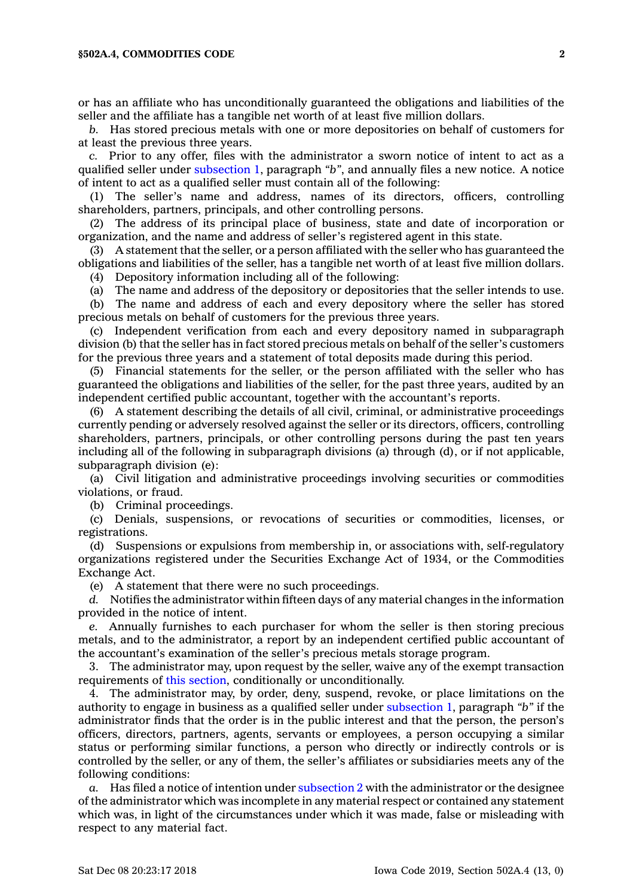or has an affiliate who has unconditionally guaranteed the obligations and liabilities of the seller and the affiliate has <sup>a</sup> tangible net worth of at least five million dollars.

*b.* Has stored precious metals with one or more depositories on behalf of customers for at least the previous three years.

*c.* Prior to any offer, files with the administrator <sup>a</sup> sworn notice of intent to act as <sup>a</sup> qualified seller under [subsection](https://www.legis.iowa.gov/docs/code/502A.4.pdf) 1, paragraph *"b"*, and annually files <sup>a</sup> new notice. A notice of intent to act as <sup>a</sup> qualified seller must contain all of the following:

(1) The seller's name and address, names of its directors, officers, controlling shareholders, partners, principals, and other controlling persons.

(2) The address of its principal place of business, state and date of incorporation or organization, and the name and address of seller's registered agent in this state.

(3) A statement that the seller, or <sup>a</sup> person affiliated with the seller who has guaranteed the obligations and liabilities of the seller, has <sup>a</sup> tangible net worth of at least five million dollars. (4) Depository information including all of the following:

(a) The name and address of the depository or depositories that the seller intends to use.

(b) The name and address of each and every depository where the seller has stored precious metals on behalf of customers for the previous three years.

(c) Independent verification from each and every depository named in subparagraph division (b) that the seller has in fact stored precious metals on behalf of the seller's customers for the previous three years and <sup>a</sup> statement of total deposits made during this period.

(5) Financial statements for the seller, or the person affiliated with the seller who has guaranteed the obligations and liabilities of the seller, for the past three years, audited by an independent certified public accountant, together with the accountant's reports.

(6) A statement describing the details of all civil, criminal, or administrative proceedings currently pending or adversely resolved against the seller or its directors, officers, controlling shareholders, partners, principals, or other controlling persons during the past ten years including all of the following in subparagraph divisions (a) through (d), or if not applicable, subparagraph division (e):

(a) Civil litigation and administrative proceedings involving securities or commodities violations, or fraud.

(b) Criminal proceedings.

(c) Denials, suspensions, or revocations of securities or commodities, licenses, or registrations.

(d) Suspensions or expulsions from membership in, or associations with, self-regulatory organizations registered under the Securities Exchange Act of 1934, or the Commodities Exchange Act.

(e) A statement that there were no such proceedings.

*d.* Notifies the administrator within fifteen days of any material changes in the information provided in the notice of intent.

*e.* Annually furnishes to each purchaser for whom the seller is then storing precious metals, and to the administrator, <sup>a</sup> report by an independent certified public accountant of the accountant's examination of the seller's precious metals storage program.

3. The administrator may, upon request by the seller, waive any of the exempt transaction requirements of this [section](https://www.legis.iowa.gov/docs/code/502A.4.pdf), conditionally or unconditionally.

4. The administrator may, by order, deny, suspend, revoke, or place limitations on the authority to engage in business as <sup>a</sup> qualified seller under [subsection](https://www.legis.iowa.gov/docs/code/502A.4.pdf) 1, paragraph *"b"* if the administrator finds that the order is in the public interest and that the person, the person's officers, directors, partners, agents, servants or employees, <sup>a</sup> person occupying <sup>a</sup> similar status or performing similar functions, <sup>a</sup> person who directly or indirectly controls or is controlled by the seller, or any of them, the seller's affiliates or subsidiaries meets any of the following conditions:

*a.* Has filed <sup>a</sup> notice of intention under [subsection](https://www.legis.iowa.gov/docs/code/502A.4.pdf) 2 with the administrator or the designee of the administrator which was incomplete in any material respect or contained any statement which was, in light of the circumstances under which it was made, false or misleading with respect to any material fact.